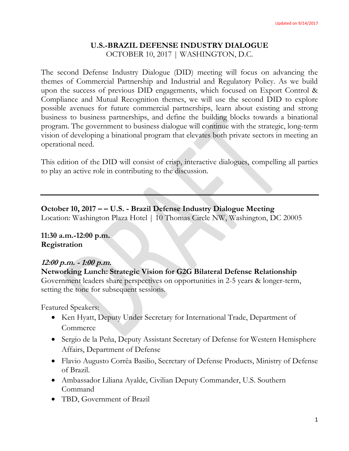### **U.S.-BRAZIL DEFENSE INDUSTRY DIALOGUE** OCTOBER 10, 2017 | WASHINGTON, D.C.

The second Defense Industry Dialogue (DID) meeting will focus on advancing the themes of Commercial Partnership and Industrial and Regulatory Policy. As we build upon the success of previous DID engagements, which focused on Export Control & Compliance and Mutual Recognition themes, we will use the second DID to explore possible avenues for future commercial partnerships, learn about existing and strong business to business partnerships, and define the building blocks towards a binational program. The government to business dialogue will continue with the strategic, long-term vision of developing a binational program that elevates both private sectors in meeting an operational need.

This edition of the DID will consist of crisp, interactive dialogues, compelling all parties to play an active role in contributing to the discussion.

# **October 10, 2017 – – U.S. - Brazil Defense Industry Dialogue Meeting**

Location: Washington Plaza Hotel | 10 Thomas Circle NW, Washington, DC 20005

#### **11:30 a.m.-12:00 p.m. Registration**

# **12:00 p.m. - 1:00 p.m.**

#### **Networking Lunch: Strategic Vision for G2G Bilateral Defense Relationship**

Government leaders share perspectives on opportunities in 2-5 years & longer-term, setting the tone for subsequent sessions.

Featured Speakers:

- Ken Hyatt, Deputy Under Secretary for International Trade, Department of Commerce
- Sergio de la Peña, Deputy Assistant Secretary of Defense for Western Hemisphere Affairs, Department of Defense
- Flavio Augusto Corrêa Basilio, Secretary of Defense Products, Ministry of Defense of Brazil.
- Ambassador Liliana Ayalde, Civilian Deputy Commander, U.S. Southern Command
- TBD, Government of Brazil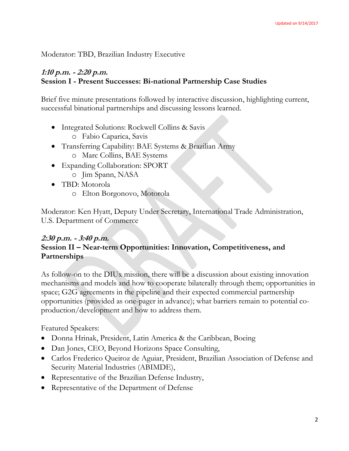Moderator: TBD, Brazilian Industry Executive

## **1:10 p.m. - 2:20 p.m. Session I - Present Successes: Bi-national Partnership Case Studies**

Brief five minute presentations followed by interactive discussion, highlighting current, successful binational partnerships and discussing lessons learned.

- Integrated Solutions: Rockwell Collins & Savis
	- o Fabio Caparica, Savis
- Transferring Capability: BAE Systems & Brazilian Army
	- o Marc Collins, BAE Systems
- Expanding Collaboration: SPORT
	- o Jim Spann, NASA
- TBD: Motorola o Elton Borgonovo, Motorola

Moderator: Ken Hyatt, Deputy Under Secretary, International Trade Administration, U.S. Department of Commerce

# **2:30 p.m. - 3:40 p.m. Session II – Near-term Opportunities: Innovation, Competitiveness, and Partnerships**

As follow-on to the DIUx mission, there will be a discussion about existing innovation mechanisms and models and how to cooperate bilaterally through them; opportunities in space; G2G agreements in the pipeline and their expected commercial partnership opportunities (provided as one-pager in advance); what barriers remain to potential coproduction/development and how to address them.

Featured Speakers:

- Donna Hrinak, President, Latin America & the Caribbean, Boeing
- Dan Jones, CEO, Beyond Horizons Space Consulting,
- Carlos Frederico Queiroz de Aguiar, President, Brazilian Association of Defense and Security Material Industries (ABIMDE),
- Representative of the Brazilian Defense Industry,
- Representative of the Department of Defense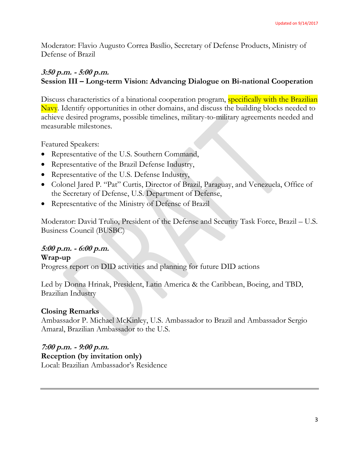Moderator: Flavio Augusto Correa Basílio, Secretary of Defense Products, Ministry of Defense of Brazil

# **3:50 p.m. - 5:00 p.m. Session III – Long-term Vision: Advancing Dialogue on Bi-national Cooperation**

Discuss characteristics of a binational cooperation program, specifically with the Brazilian Navy. Identify opportunities in other domains, and discuss the building blocks needed to achieve desired programs, possible timelines, military-to-military agreements needed and measurable milestones.

Featured Speakers:

- Representative of the U.S. Southern Command,
- Representative of the Brazil Defense Industry,
- Representative of the U.S. Defense Industry,
- Colonel Jared P. "Pat" Curtis, Director of Brazil, Paraguay, and Venezuela, Office of the Secretary of Defense, U.S. Department of Defense,
- Representative of the Ministry of Defense of Brazil

Moderator: David Trulio, President of the Defense and Security Task Force, Brazil – U.S. Business Council (BUSBC)

# **5:00 p.m. - 6:00 p.m.**

### **Wrap-up**

Progress report on DID activities and planning for future DID actions

Led by Donna Hrinak, President, Latin America & the Caribbean, Boeing, and TBD, Brazilian Industry

# **Closing Remarks**

Ambassador P. Michael McKinley, U.S. Ambassador to Brazil and Ambassador Sergio Amaral, Brazilian Ambassador to the U.S.

**7:00 p.m. - 9:00 p.m. Reception (by invitation only)**  Local: Brazilian Ambassador's Residence